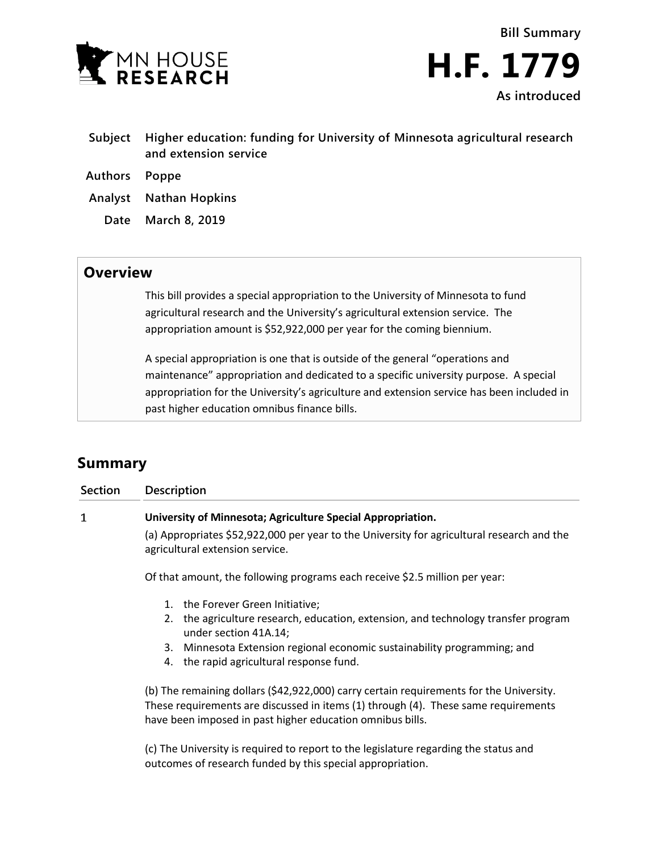



- **Subject Higher education: funding for University of Minnesota agricultural research and extension service**
- **Authors Poppe**
- **Analyst Nathan Hopkins**
	- **Date March 8, 2019**

## **Overview**

This bill provides a special appropriation to the University of Minnesota to fund agricultural research and the University's agricultural extension service. The appropriation amount is \$52,922,000 per year for the coming biennium.

A special appropriation is one that is outside of the general "operations and maintenance" appropriation and dedicated to a specific university purpose. A special appropriation for the University's agriculture and extension service has been included in past higher education omnibus finance bills.

## **Summary**

| <b>Section</b> | <b>Description</b>                                                                                                            |
|----------------|-------------------------------------------------------------------------------------------------------------------------------|
| 1              | University of Minnesota; Agriculture Special Appropriation.                                                                   |
|                | (a) Appropriates \$52,922,000 per year to the University for agricultural research and the<br>agricultural extension service. |
|                | Of that amount, the following programs each receive \$2.5 million per year:                                                   |
|                | the Forever Green Initiative;<br>1.                                                                                           |
|                | 2. the agriculture research, education, extension, and technology transfer program<br>under section 41A.14;                   |
|                | Minnesota Extension regional economic sustainability programming; and<br>3.                                                   |
|                | 4. the rapid agricultural response fund.                                                                                      |
|                | (b) The remaining dollars (\$42,922,000) carry certain requirements for the University.                                       |
|                | These requirements are discussed in items (1) through (4). These same requirements                                            |
|                | have been imposed in past higher education omnibus bills.                                                                     |

(c) The University is required to report to the legislature regarding the status and outcomes of research funded by this special appropriation.